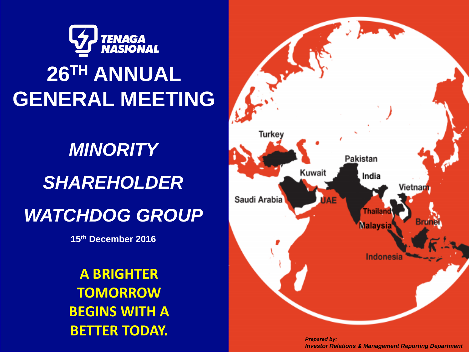

# **26TH ANNUAL GENERAL MEETING**

# *MINORITY MINORITY SHAREHOLDER SHAREHOLDER WATCHDOG GROUP WATCHDOG GROUP*

**15th December 2016 15th December 2016**

**A BRIGHTER TOMORROW BEGINS WITH A BETTER TODAY.**



*Prepared by: Investor Relations & Management Reporting Department*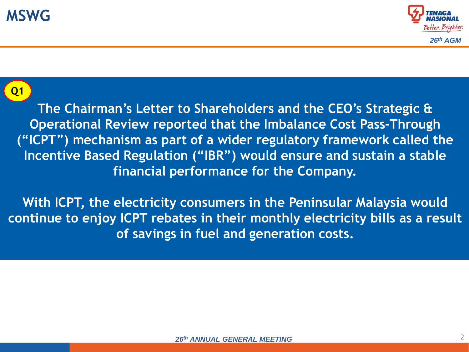



### **Q1**

**The Chairman's Letter to Shareholders and the CEO's Strategic & Operational Review reported that the Imbalance Cost Pass-Through ("ICPT") mechanism as part of a wider regulatory framework called the Incentive Based Regulation ("IBR") would ensure and sustain a stable financial performance for the Company.** 

**With ICPT, the electricity consumers in the Peninsular Malaysia would continue to enjoy ICPT rebates in their monthly electricity bills as a result of savings in fuel and generation costs.**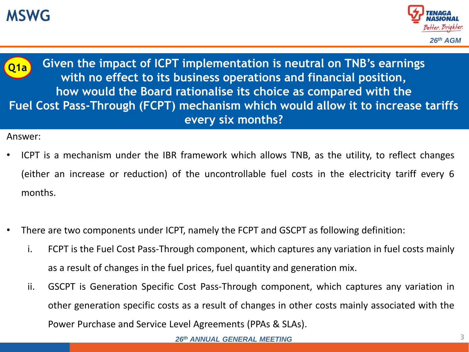# **MSWG**





**Given the impact of ICPT implementation is neutral on TNB's earnings with no effect to its business operations and financial position, how would the Board rationalise its choice as compared with the Fuel Cost Pass-Through (FCPT) mechanism which would allow it to increase tariffs every six months?**

- ICPT is a mechanism under the IBR framework which allows TNB, as the utility, to reflect changes (either an increase or reduction) of the uncontrollable fuel costs in the electricity tariff every 6 months.
- There are two components under ICPT, namely the FCPT and GSCPT as following definition:
	- i. FCPT is the Fuel Cost Pass-Through component, which captures any variation in fuel costs mainly as a result of changes in the fuel prices, fuel quantity and generation mix.
	- ii. GSCPT is Generation Specific Cost Pass-Through component, which captures any variation in other generation specific costs as a result of changes in other costs mainly associated with the Power Purchase and Service Level Agreements (PPAs & SLAs).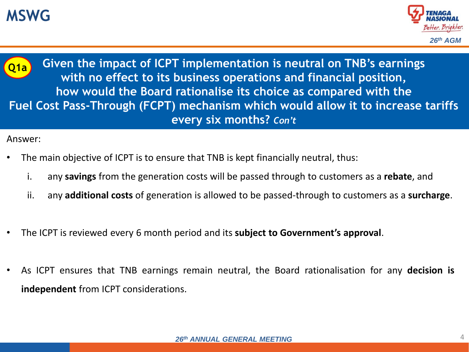# **MSWG**





**Given the impact of ICPT implementation is neutral on TNB's earnings with no effect to its business operations and financial position, how would the Board rationalise its choice as compared with the Fuel Cost Pass-Through (FCPT) mechanism which would allow it to increase tariffs every six months?** *Con't*

- The main objective of ICPT is to ensure that TNB is kept financially neutral, thus:
	- i. any **savings** from the generation costs will be passed through to customers as a **rebate**, and
	- ii. any **additional costs** of generation is allowed to be passed-through to customers as a **surcharge**.
- The ICPT is reviewed every 6 month period and its **subject to Government's approval**.
- As ICPT ensures that TNB earnings remain neutral, the Board rationalisation for any **decision is independent** from ICPT considerations.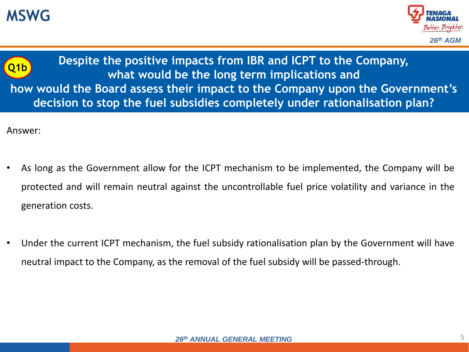





- As long as the Government allow for the ICPT mechanism to be implemented, the Company will be protected and will remain neutral against the uncontrollable fuel price volatility and variance in the generation costs.
- Under the current ICPT mechanism, the fuel subsidy rationalisation plan by the Government will have neutral impact to the Company, as the removal of the fuel subsidy will be passed-through.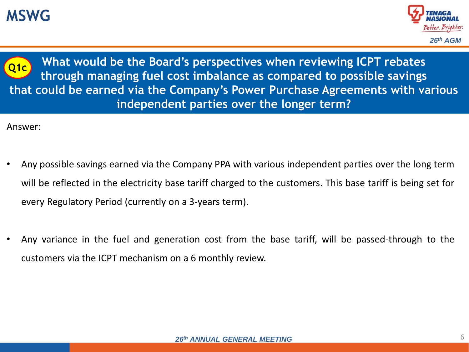# **MSWG**





**What would be the Board's perspectives when reviewing ICPT rebates through managing fuel cost imbalance as compared to possible savings that could be earned via the Company's Power Purchase Agreements with various independent parties over the longer term?**

- Any possible savings earned via the Company PPA with various independent parties over the long term will be reflected in the electricity base tariff charged to the customers. This base tariff is being set for every Regulatory Period (currently on a 3-years term).
- Any variance in the fuel and generation cost from the base tariff, will be passed-through to the customers via the ICPT mechanism on a 6 monthly review.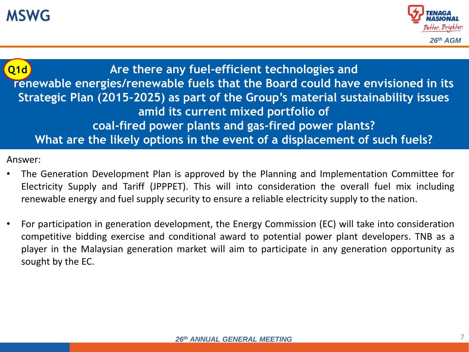

**Are there any fuel-efficient technologies and renewable energies/renewable fuels that the Board could have envisioned in its Strategic Plan (2015-2025) as part of the Group's material sustainability issues amid its current mixed portfolio of coal-fired power plants and gas-fired power plants? What are the likely options in the event of a displacement of such fuels? Q1d**

- The Generation Development Plan is approved by the Planning and Implementation Committee for Electricity Supply and Tariff (JPPPET). This will into consideration the overall fuel mix including renewable energy and fuel supply security to ensure a reliable electricity supply to the nation.
- For participation in generation development, the Energy Commission (EC) will take into consideration competitive bidding exercise and conditional award to potential power plant developers. TNB as a player in the Malaysian generation market will aim to participate in any generation opportunity as sought by the EC.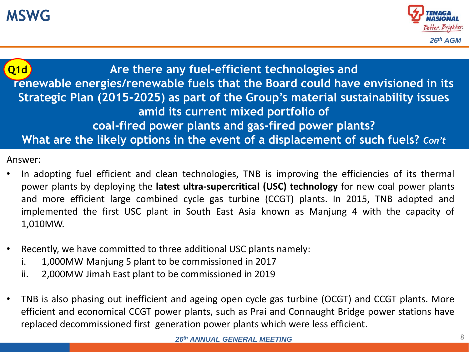

### **Are there any fuel-efficient technologies and renewable energies/renewable fuels that the Board could have envisioned in its Strategic Plan (2015-2025) as part of the Group's material sustainability issues amid its current mixed portfolio of coal-fired power plants and gas-fired power plants? What are the likely options in the event of a displacement of such fuels?** *Con't* **Q1d**

- In adopting fuel efficient and clean technologies, TNB is improving the efficiencies of its thermal power plants by deploying the **latest ultra-supercritical (USC) technology** for new coal power plants and more efficient large combined cycle gas turbine (CCGT) plants. In 2015, TNB adopted and implemented the first USC plant in South East Asia known as Manjung 4 with the capacity of 1,010MW.
- Recently, we have committed to three additional USC plants namely:
	- i. 1,000MW Manjung 5 plant to be commissioned in 2017
	- ii. 2,000MW Jimah East plant to be commissioned in 2019
- TNB is also phasing out inefficient and ageing open cycle gas turbine (OCGT) and CCGT plants. More efficient and economical CCGT power plants, such as Prai and Connaught Bridge power stations have replaced decommissioned first generation power plants which were less efficient.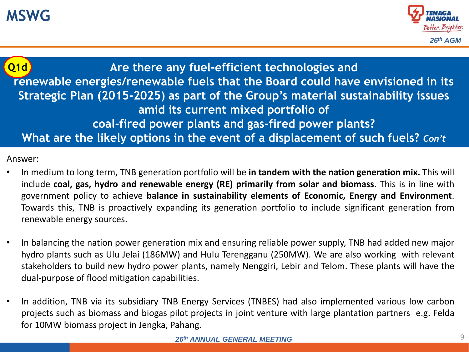

### **Are there any fuel-efficient technologies and renewable energies/renewable fuels that the Board could have envisioned in its Strategic Plan (2015-2025) as part of the Group's material sustainability issues amid its current mixed portfolio of coal-fired power plants and gas-fired power plants? What are the likely options in the event of a displacement of such fuels?** *Con't* **Q1d**

- In medium to long term, TNB generation portfolio will be **in tandem with the nation generation mix.** This will include **coal, gas, hydro and renewable energy (RE) primarily from solar and biomass**. This is in line with government policy to achieve **balance in sustainability elements of Economic, Energy and Environment**. Towards this, TNB is proactively expanding its generation portfolio to include significant generation from renewable energy sources.
- In balancing the nation power generation mix and ensuring reliable power supply, TNB had added new major hydro plants such as Ulu Jelai (186MW) and Hulu Terengganu (250MW). We are also working with relevant stakeholders to build new hydro power plants, namely Nenggiri, Lebir and Telom. These plants will have the dual-purpose of flood mitigation capabilities.
- In addition, TNB via its subsidiary TNB Energy Services (TNBES) had also implemented various low carbon projects such as biomass and biogas pilot projects in joint venture with large plantation partners e.g. Felda for 10MW biomass project in Jengka, Pahang.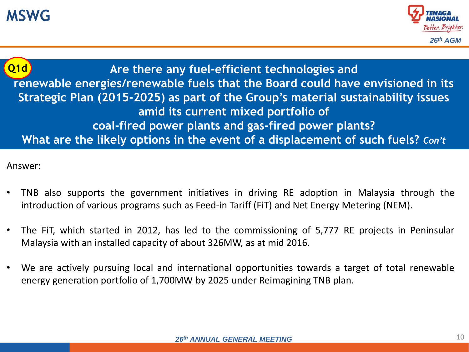

**Are there any fuel-efficient technologies and renewable energies/renewable fuels that the Board could have envisioned in its Strategic Plan (2015-2025) as part of the Group's material sustainability issues amid its current mixed portfolio of coal-fired power plants and gas-fired power plants? What are the likely options in the event of a displacement of such fuels?** *Con't* **Q1d**

- TNB also supports the government initiatives in driving RE adoption in Malaysia through the introduction of various programs such as Feed-in Tariff (FiT) and Net Energy Metering (NEM).
- The FiT, which started in 2012, has led to the commissioning of 5,777 RE projects in Peninsular Malaysia with an installed capacity of about 326MW, as at mid 2016.
- We are actively pursuing local and international opportunities towards a target of total renewable energy generation portfolio of 1,700MW by 2025 under Reimagining TNB plan.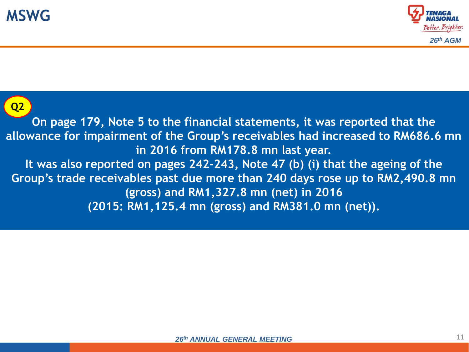



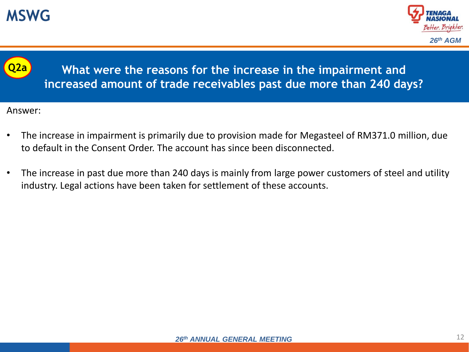





**What were the reasons for the increase in the impairment and increased amount of trade receivables past due more than 240 days?**

- The increase in impairment is primarily due to provision made for Megasteel of RM371.0 million, due to default in the Consent Order. The account has since been disconnected.
- The increase in past due more than 240 days is mainly from large power customers of steel and utility industry. Legal actions have been taken for settlement of these accounts.